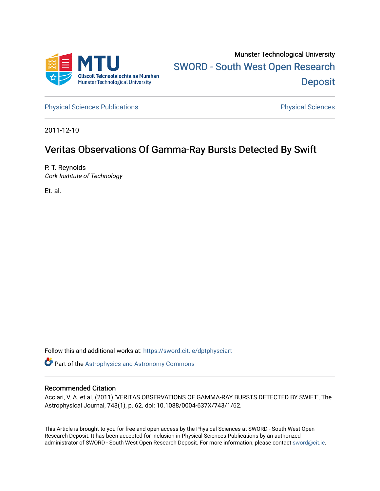

[Physical Sciences Publications](https://sword.cit.ie/dptphysciart) **Physical Sciences** Physical Sciences

2011-12-10

# Veritas Observations Of Gamma-Ray Bursts Detected By Swift

P. T. Reynolds Cork Institute of Technology

Et. al.

Follow this and additional works at: [https://sword.cit.ie/dptphysciart](https://sword.cit.ie/dptphysciart?utm_source=sword.cit.ie%2Fdptphysciart%2F61&utm_medium=PDF&utm_campaign=PDFCoverPages)

Part of the [Astrophysics and Astronomy Commons](http://network.bepress.com/hgg/discipline/123?utm_source=sword.cit.ie%2Fdptphysciart%2F61&utm_medium=PDF&utm_campaign=PDFCoverPages) 

## Recommended Citation

Acciari, V. A. et al. (2011) 'VERITAS OBSERVATIONS OF GAMMA-RAY BURSTS DETECTED BY SWIFT', The Astrophysical Journal, 743(1), p. 62. doi: 10.1088/0004-637X/743/1/62.

This Article is brought to you for free and open access by the Physical Sciences at SWORD - South West Open Research Deposit. It has been accepted for inclusion in Physical Sciences Publications by an authorized administrator of SWORD - South West Open Research Deposit. For more information, please contact [sword@cit.ie.](mailto:sword@cit.ie)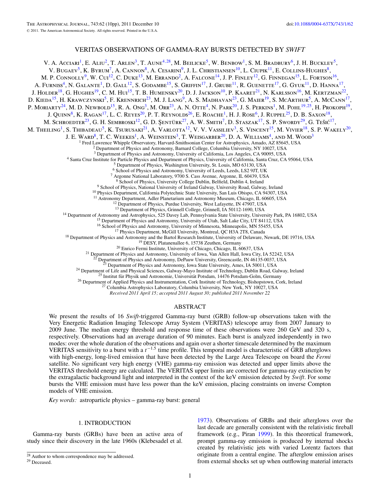## VERITAS OBSERVATIONS OF GAMMA-RAY BURSTS DETECTED BY *SWIFT*

V. A. Acciari<sup>1</sup>, E. Aliu<sup>2</sup>, T. Arlen<sup>3</sup>, T. Aune<sup>4,28</sup>, M. Beilicke<sup>5</sup>, W. Benbow<sup>1</sup>, S. M. Bradbury<sup>6</sup>, J. H. Buckley<sup>5</sup>, V. Bugaev<sup>5</sup>, K. Byrum<sup>7</sup>, A. Cannon<sup>8</sup>, A. Cesarini<sup>9</sup>, J. L. Christiansen<sup>10</sup>, L. Ciupik<sup>11</sup>, E. Collins-Hughes<sup>8</sup>, M. P. CONNOLLY<sup>9</sup>, W. Cui<sup>12</sup>, C. Duke<sup>13</sup>, M. Errando<sup>2</sup>, A. Falcone<sup>14</sup>, J. P. Finley<sup>12</sup>, G. Finnegan<sup>15</sup>, L. Fortson<sup>16</sup>, A. Furniss<sup>4</sup>, N. Galante<sup>1</sup>, D. Gall<sup>12</sup>, S. Godambe<sup>15</sup>, S. Griffin<sup>17</sup>, J. Grube<sup>11</sup>, R. Guenette<sup>17</sup>, G. Gyuk<sup>11</sup>, D. Hanna<sup>17</sup> J. Holder<sup>18</sup>, G. Hughes<sup>19</sup>, C. M. Hui<sup>15</sup>, T. B. Humensky<sup>20</sup>, D. J. Jackson<sup>10</sup>, P. Kaaret<sup>21</sup>, N. Karlsson<sup>16</sup>, M. Kertzman<sup>22</sup>, D. KIEDA<sup>15</sup>, H. KRAWCZYNSKI<sup>5</sup>, F. KRENNRICH<sup>23</sup>, M. J. LANG<sup>9</sup>, A. S. MADHAVAN<sup>23</sup>, G. MAIER<sup>19</sup>, S. MCARTHUR<sup>5</sup>, A. McCann<sup>17</sup>, P. Moriarty<sup>24</sup>, M. D. Newbold<sup>15</sup>, R. A. Ong<sup>3</sup>, M. Orr<sup>23</sup>, A. N. Otte<sup>4</sup>, N. Park<sup>20</sup>, J. S. Perkins<sup>1</sup>, M. Pohl<sup>19,25</sup>, H. Prokoph<sup>19</sup>, J. QUINN<sup>8</sup>, K. RAGAN<sup>17</sup>, L. C. REYES<sup>20</sup>, P. T. REYNOLDS<sup>26</sup>, E. ROACHE<sup>1</sup>, H. J. ROSE<sup>6</sup>, J. RUPPEL<sup>25</sup>, D. B. SAXON<sup>18</sup>, M. SCHROEDTER<sup>23</sup>, G. H. SEMBROSKI<sup>12</sup>, G. D. ŞENTÜRK<sup>27</sup>, A. W. SMITH<sup>7</sup>, D. STASZAK<sup>17</sup>, S. P. SWORDY<sup>29</sup>, G. Tešić<sup>17</sup>, M. THEILING<sup>1</sup>, S. THIBADEAU<sup>5</sup>, K. TSURUSAKI<sup>21</sup>, A. VARLOTTA<sup>12</sup>, V. V. VASSILIEV<sup>3</sup>, S. VINCENT<sup>15</sup>, M. VIVIER<sup>18</sup>, S. P. WAKELY<sup>20</sup>, J. E. WARD<sup>8</sup>, T. C. WEEKES<sup>1</sup>, A. WEINSTEIN<sup>3</sup>, T. WEISGARBER<sup>20</sup>, D. A. WILLIAMS<sup>4</sup>, AND M. WOOD<sup>3</sup> Fred Lawrence Whipple Observatory, Harvard-Smithsonian Center for Astrophysics, Amado, AZ 85645, USA <sup>2</sup> Department of Physics and Astronomy, Barnard College, Columbia University, NY 10027, USA <sup>3</sup> Department of Physics an <sup>4</sup> Santa Cruz Institute for Particle Physics and Department of Physics, University of California, Santa Cruz, CA 95064, USA<br><sup>5</sup> Department of Physics, Washington University, St. Louis, MO 63130, USA<br><sup>6</sup> School of Physics <sup>9</sup> School of Physics, National University of Ireland Galway, University Road, Galway, Ireland  $^{10}$  Physics Department, California Polytechnic State University, San Luis Obispo, CA 94307, USA  $^{11}$  Astronomy Department <sup>14</sup> Department of Astronomy and Astrophysics, 525 Davey Lab, Pennsylvania State University, University Park, PA 16802, USA<br><sup>15</sup> Department of Physics and Astronomy, University of Utah, Salt Lake City, UT 84112, USA<br><sup>16</sup> <sup>22</sup> Department of Physics and Astronomy, DePauw University, Greencastle, IN 46135-0037, USA<br><sup>23</sup> Department of Physics and Astronomy, Iowa State University, Greencastle, IN 46135-0037, USA<br><sup>24</sup> Department of Life and Phy

*Received 2011 April 15; accepted 2011 August 30; published 2011 November 22*

#### ABSTRACT

We present the results of 16 *Swift*-triggered Gamma-ray burst (GRB) follow-up observations taken with the Very Energetic Radiation Imaging Telescope Array System (VERITAS) telescope array from 2007 January to 2009 June. The median energy threshold and response time of these observations were 260 GeV and 320 s, respectively. Observations had an average duration of 90 minutes. Each burst is analyzed independently in two modes: over the whole duration of the observations and again over a shorter timescale determined by the maximum VERITAS sensitivity to a burst with a *t*−1*.*<sup>5</sup> time profile. This temporal model is characteristic of GRB afterglows with high-energy, long-lived emission that have been detected by the Large Area Telescope on board the *Fermi* satellite. No significant very high energy (VHE) gamma-ray emission was detected and upper limits above the VERITAS threshold energy are calculated. The VERITAS upper limits are corrected for gamma-ray extinction by the extragalactic background light and interpreted in the context of the keV emission detected by *Swift*. For some bursts the VHE emission must have less power than the keV emission, placing constraints on inverse Compton models of VHE emission.

*Key words:* astroparticle physics – gamma-ray burst: general

## 1. INTRODUCTION

Gamma-ray bursts (GRBs) have been an active area of study since their discovery in the late 1960s (Klebesadel et al.

[1973\)](#page-10-0). Observations of GRBs and their afterglows over the last decade are generally consistent with the relativistic fireball framework (e.g., Piran [1999\)](#page-10-0). In this theoretical framework, prompt gamma-ray emission is produced by internal shocks created by relativistic jets with varied Lorentz factors that originate from a central engine. The afterglow emission arises from external shocks set up when outflowing material interacts

<sup>28</sup> Author to whom correspondence may be addressed.

<sup>29</sup> Deceased.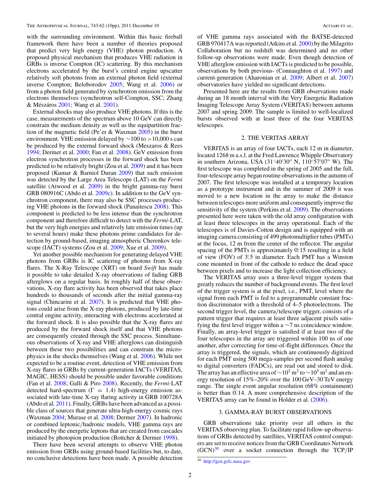with the surrounding environment. Within this basic fireball framework there have been a number of theories proposed that predict very high energy (VHE) photon production. A proposed physical mechanism that produces VHE radiation in GRBs is inverse Compton (IC) scattering. By this mechanism electrons accelerated by the burst's central engine upscatter relatively soft photons from an external photon field (external inverse Compton; Beloborodov [2005;](#page-10-0) Wang et al. [2006\)](#page-10-0) or from a photon field generated by synchrotron emission from the electrons themselves (synchrotron self-Compton, SSC; Zhang & Mészáros [2001;](#page-10-0) Wang et al. [2001\)](#page-10-0).

External shocks may also produce VHE photons. If this is the case, measurements of the spectrum above 10 GeV can directly constrain the medium density as well as the equipartition fraction of the magnetic field (Pe'er & Waxman [2005\)](#page-10-0) in the burst environment. VHE emission delayed by ∼100 to *>*10,000 s can be produced by the external forward shock (Meszaros & Rees [1994;](#page-10-0) Dermer et al. [2000;](#page-10-0) Fan et al. [2008\)](#page-10-0). GeV emission from electron synchrotron processes in the forward shock has been predicted to be relatively bright (Zou et al. [2009\)](#page-10-0) and it has been proposed (Kumar & Barniol Duran [2009\)](#page-10-0) that such emission was detected by the Large Area Telescope (LAT) on the *Fermi* satellite (Atwood et al. [2009\)](#page-10-0) in the bright gamma-ray burst GRB 080916C (Abdo et al. [2009c\)](#page-10-0). In addition to the GeV synchrotron component, there may also be SSC processes producing VHE photons in the forward shock (Panaitescu [2008\)](#page-10-0). This component is predicted to be less intense than the synchrotron component and therefore difficult to detect with the *Fermi*-LAT, but the very high energies and relatively late emission times (up to several hours) make these photons prime candidates for detection by ground-based, imaging atmospheric Cherenkov telescope (IACT) systems (Zou et al. [2009;](#page-10-0) Xue et al. [2009\)](#page-10-0).

Yet another possible mechanism for generating delayed VHE photons from GRBs is IC scattering of photons from X-ray flares. The X-Ray Telescope (XRT) on board *Swift* has made it possible to take detailed X-ray observations of fading GRB afterglows on a regular basis. In roughly half of these observations, X-ray flare activity has been observed that takes place hundreds to thousands of seconds after the initial gamma-ray signal (Chincarini et al. [2007\)](#page-10-0). It is predicted that VHE photons could arise from the X-ray photons, produced by late-time central engine activity, interacting with electrons accelerated at the forward shock. It is also possible that the X-ray flares are produced by the forward shock itself and that VHE photons are consequently created through the SSC process. Simultaneous observations of X-ray and VHE afterglows can distinguish between these two possibilities and can constrain the microphysics in the shocks themselves (Wang et al. [2006\)](#page-10-0). While not expected to be a routine event, detection of VHE emission from X-ray flares in GRBs by current-generation IACTs (VERITAS, MAGIC, HESS) should be possible under favorable conditions (Fan et al. [2008;](#page-10-0) Galli & Piro [2008\)](#page-10-0). Recently, the *Fermi*-LAT detected hard-spectrum ( $\Gamma = 1.4$ ) high-energy emission associated with late-time X-ray flaring activity in GRB 100728A (Abdo et al. [2011\)](#page-10-0). Finally, GRBs have been advanced as a possible class of sources that generate ultra-high-energy cosmic rays (Waxman [2004;](#page-10-0) Murase et al. [2008;](#page-10-0) Dermer [2007\)](#page-10-0). In hadronic or combined leptonic*/*hadronic models, VHE gamma rays are produced by the energetic leptons that are created from cascades initiated by photopion production (Bottcher & Dermer [1998\)](#page-10-0).

There have been several attempts to observe VHE photon emission from GRBs using ground-based facilities but, to date, no conclusive detections have been made. A possible detection

of VHE gamma rays associated with the BATSE-detected GRB 970417A was reported (Atkins et al. [2000\)](#page-10-0) by the Milagrito Collaboration but no redshift was determined and no other follow-up observations were made. Even though detection of VHE afterglow emission with IACTs is predicted to be possible, observations by both previous- (Connaughton et al. [1997\)](#page-10-0) and current-generation (Aharonian et al. [2009;](#page-10-0) Albert et al. [2007\)](#page-10-0) observatories have yielded no significant detections.

Presented here are the results from GRB observations made during an 18 month interval with the Very Energetic Radiation Imaging Telescope Array System (VERITAS) between autumn 2007 and spring 2009. The sample is limited to well-localized bursts observed with at least three of the four VERITAS telescopes.

#### 2. THE VERITAS ARRAY

VERITAS is an array of four IACTs, each 12 m in diameter, located 1268 m a.s.l. at the Fred Lawrence Whipple Observatory in southern Arizona, USA  $(31°40'30''$  N,  $110°57'07''$  W). The first telescope was completed in the spring of 2005 and the full, four-telescope array began routine observations in the autumn of 2007. The first telescope was installed at a temporary location as a prototype instrument and in the summer of 2009 it was moved to a new location in the array to make the distance between telescopes more uniform and consequently improve the sensitivity of the system (Perkins et al. [2009\)](#page-10-0). The observations presented here were taken with the old array configuration with at least three telescopes in the array operational. Each of the telescopes is of Davies-Cotton design and is equipped with an imaging camera consisting of 499 photomultiplier tubes (PMTs) at the focus, 12 m from the center of the reflector. The angular spacing of the PMTs is approximately 0.<sup>215</sup> resulting in a field of view (FOV) of 3*.* ◦5 in diameter. Each PMT has a Winston cone mounted in front of the cathode to reduce the dead space between pixels and to increase the light collection efficiency.

The VERITAS array uses a three-level trigger system that greatly reduces the number of background events. The first level of the trigger system is at the pixel, i.e., PMT, level where the signal from each PMT is fed to a programmable constant fraction discriminator with a threshold of 4–5 photoelectrons. The second trigger level, the camera*/*telescope trigger, consists of a pattern trigger that requires at least three adjacent pixels satisfying the first level trigger within a  $\sim$ 7 ns coincidence window. Finally, an array-level trigger is satisfied if at least two of the four telescopes in the array are triggered within 100 ns of one another, after correcting for time-of-flight differences. Once the array is triggered, the signals, which are continuously digitized for each PMT using 500 mega-samples per second flash analog to digital converters (FADCs), are read out and stored to disk. The array has an effective area of  $\sim$ 10<sup>3</sup> m<sup>2</sup> to  $\sim$ 10<sup>5</sup> m<sup>2</sup> and an energy resolution of 15%–20% over the 100 GeV–30 TeV energy range. The single event angular resolution (68% containment) is better than 0.<sup>2</sup>14. A more comprehensive description of the VERITAS array can be found in Holder et al. [\(2006\)](#page-10-0).

#### 3. GAMMA-RAY BURST OBSERVATIONS

GRB observations take priority over all others in the VERITAS observing plan. To facilitate rapid follow-up observations of GRBs detected by satellites, VERITAS control computers are set to receive notices from the GRB Coordinates Network  $(GCN)^{30}$  over a socket connection through the TCP/IP

 $30$  <http://gcn.gsfc.nasa.gov>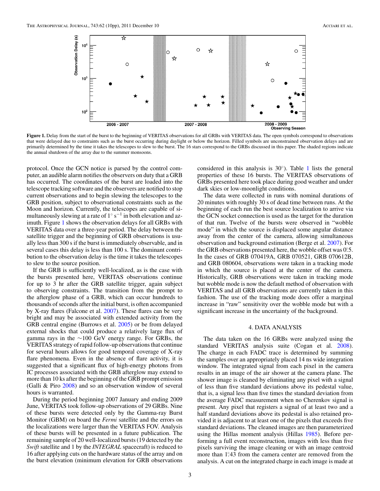

Figure 1. Delay from the start of the burst to the beginning of VERITAS observations for all GRBs with VERITAS data. The open symbols correspond to observations that were delayed due to constraints such as the burst occurring during daylight or below the horizon. Filled symbols are unconstrained observation delays and are primarily determined by the time it takes the telescopes to slew to the burst. The 16 stars correspond to the GRBs discussed in this paper. The shaded regions indicate the annual shutdown of the array due to the summer monsoons.

protocol. Once the GCN notice is parsed by the control computer, an audible alarm notifies the observers on duty that a GRB has occurred. The coordinates of the burst are loaded into the telescope tracking software and the observers are notified to stop current observations and to begin slewing the telescopes to the GRB position, subject to observational constraints such as the Moon and horizon. Currently, the telescopes are capable of simultaneously slewing at a rate of  $1° s^{-1}$  in both elevation and azimuth. Figure 1 shows the observation delays for all GRBs with VERITAS data over a three-year period. The delay between the satellite trigger and the beginning of GRB observations is usually less than 300 s if the burst is immediately observable, and in several cases this delay is less than 100 s. The dominant contribution to the observation delay is the time it takes the telescopes to slew to the source position.

If the GRB is sufficiently well-localized, as is the case with the bursts presented here, VERITAS observations continue for up to 3 hr after the GRB satellite trigger, again subject to observing constraints. The transition from the prompt to the afterglow phase of a GRB, which can occur hundreds to thousands of seconds after the initial burst, is often accompanied by X-ray flares (Falcone et al. [2007\)](#page-10-0). These flares can be very bright and may be associated with extended activity from the GRB central engine (Burrows et al. [2005\)](#page-10-0) or be from delayed external shocks that could produce a relatively large flux of gamma rays in the ∼100 GeV energy range. For GRBs, the VERITAS strategy of rapid follow-up observations that continue for several hours allows for good temporal coverage of X-ray flare phenomena. Even in the absence of flare activity, it is suggested that a significant flux of high-energy photons from IC processes associated with the GRB afterglow may extend to more than 10 ks after the beginning of the GRB prompt emission (Galli & Piro [2008\)](#page-10-0) and so an observation window of several hours is warranted.

During the period beginning 2007 January and ending 2009 June, VERITAS took follow-up observations of 29 GRBs. Nine of these bursts were detected only by the Gamma-ray Burst Monitor (GBM) on board the *Fermi* satellite and the errors on the localizations were larger than the VERITAS FOV. Analysis of these bursts will be presented in a future publication. The remaining sample of 20 well-localized bursts (19 detected by the *Swift* satellite and 1 by the *INTEGRAL* spacecraft) is reduced to 16 after applying cuts on the hardware status of the array and on the burst elevation (minimum elevation for GRB observations

considered in this analysis is  $30°$ ). Table [1](#page-4-0) lists the general properties of these 16 bursts. The VERITAS observations of GRBs presented here took place during good weather and under dark skies or low-moonlight conditions.

The data were collected in runs with nominal durations of 20 minutes with roughly 30 s of dead time between runs. At the beginning of each run the best source localization to arrive via the GCN socket connection is used as the target for the duration of that run. Twelve of the bursts were observed in "wobble mode" in which the source is displaced some angular distance away from the center of the camera, allowing simultaneous observation and background estimation (Berge et al. [2007\)](#page-10-0). For the GRB observations presented here, the wobble offset was 0.5. In the cases of GRB 070419A, GRB 070521, GRB 070612B, and GRB 080604, observations were taken in a tracking mode in which the source is placed at the center of the camera. Historically, GRB observations were taken in tracking mode but wobble mode is now the default method of observation with VERITAS and all GRB observations are currently taken in this fashion. The use of the tracking mode does offer a marginal increase in "raw" sensitivity over the wobble mode but with a significant increase in the uncertainty of the background.

#### 4. DATA ANALYSIS

The data taken on the 16 GRBs were analyzed using the standard VERITAS analysis suite (Cogan et al. [2008\)](#page-10-0). The charge in each FADC trace is determined by summing the samples over an appropriately placed 14 ns wide integration window. The integrated signal from each pixel in the camera results in an image of the air shower at the camera plane. The shower image is cleaned by eliminating any pixel with a signal of less than five standard deviations above its pedestal value, that is, a signal less than five times the standard deviation from the average FADC measurement when no Cherenkov signal is present. Any pixel that registers a signal of at least two and a half standard deviations above its pedestal is also retained provided it is adjacent to at least one of the pixels that exceeds five standard deviations. The cleaned images are then parameterized using the Hillas moment analysis (Hillas [1985\)](#page-10-0). Before performing a full event reconstruction, images with less than five pixels surviving the image cleaning or with an image centroid more than 1°43 from the camera center are removed from the analysis. A cut on the integrated charge in each image is made at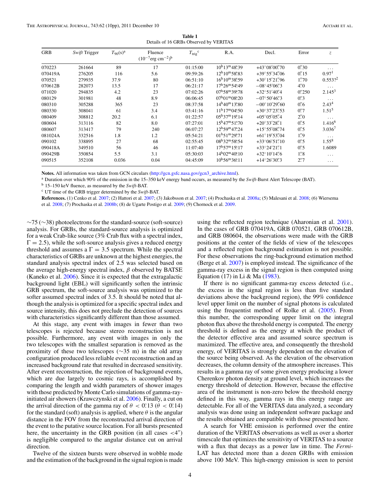**Table 1** Details of 16 GRBs Observed by VERITAS

<span id="page-4-0"></span>

| <b>GRB</b> | Swift Trigger | $T_{90}(s)^{a}$ | Fluence<br>$(10^{-7}$ erg cm <sup>-2</sup> ) <sup>b</sup> | $T_{\text{trig}}^{\text{c}}$ | R.A.                                       | Decl.                                       | Error                       | Z.                   |
|------------|---------------|-----------------|-----------------------------------------------------------|------------------------------|--------------------------------------------|---------------------------------------------|-----------------------------|----------------------|
| 070223     | 261664        | 89              | 17                                                        | 01:15:00                     | $10^{\rm h}13^{\rm m}48^{\rm s}39$         | $+43^{\circ}08'00''70$                      | 0''30                       | .                    |
| 070419A    | 276205        | 116             | 5.6                                                       | 09:59:26                     | $12^{\rm h}10^{\rm m}58^{\rm s}83$         | $+39^{\circ}55'34''06$                      | 0''15                       | 0.97 <sup>1</sup>    |
| 070521     | 279935        | 37.9            | 80                                                        | 06:51:10                     | $16^{\rm h}10^{\rm m}38^{\rm s}59$         | $+30^{\circ}15^{\prime}21^{\prime\prime}96$ | 1''/70                      | $0.553$ <sup>2</sup> |
| 070612B    | 282073        | 13.5            | 17                                                        | 06:21:17                     | $17^{\rm h}26^{\rm m}54^{\rm s}49$         | $-08^{\circ}45'06''3$                       | $4\rlap{.}^{\prime\prime}0$ | $\cdots$             |
| 071020     | 294835        | 4.2             | 23                                                        | 07:02:26                     | $07^{\rm h}58^{\rm m}39^{\rm s}78$         | $+32^{\circ}51'40''4$                       | 0''/250                     | $2.145^3$            |
| 080129     | 301981        | 48              | 8.9                                                       | 06:06:45                     | $07^{\rm h}01^{\rm m}08^{\rm s}20$         | $-07^{\circ}50'46''3$                       | 0.3'                        | $\cdots$             |
| 080310     | 305288        | 365             | 23                                                        | 08:37:58                     | $14^{\rm h}40^{\rm m}13^{\rm s}80$         | $-00^{\circ}10'29''60$                      | 0.6'                        | 2.43 <sup>4</sup>    |
| 080330     | 308041        | 61              | 3.4                                                       | 03:41:16                     | $11^{\rm h}17^{\rm m}04\rlap{.}^{\rm s}50$ | $+30^{\circ}37^{\prime}23^{\prime\prime}53$ | 0''7                        | $1.51^{5}$           |
| 080409     | 308812        | 20.2            | 6.1                                                       | 01:22:57                     | $0.5^{\rm h}37^{\rm m}19^{\rm s}14$        | $+05^{\circ}05^{\prime}05^{\prime\prime}4$  | $2\rlap{.}^{\prime\prime}0$ | $\cdots$             |
| 080604     | 313116        | 82              | 8.0                                                       | 07:27:01                     | $15^{\rm h}47^{\rm m}51^{\rm s}70$         | $+20^{\circ}33'28''$                        | 0.5'                        | 1.416 <sup>6</sup>   |
| 080607     | 313417        | 79              | 240                                                       | 06:07:27                     | $12^{\rm h}59^{\rm m}47^{\rm s}24$         | $+15^{\circ}55'08''74$                      | 0.5'                        | 3.036 <sup>7</sup>   |
| 081024A    | 332516        | 1.8             | 1.2                                                       | 05:54:21                     | $01^{\rm h}51^{\rm m}29^{\rm s}71$         | $+61^{\circ}19'53''04$                      | $1\rlap{.}^{\prime\prime}9$ | $\cdots$             |
| 090102     | 338895        | 27              | 68                                                        | 02:55:45                     | $08^{\rm h}32^{\rm m}58^{\rm s}54$         | $+33^{\circ}06'51''10$                      | 0.5'                        | $1.55^{8}$           |
| 090418A    | 349510        | 56              | 46                                                        | 11:07:40                     | $17^{\rm h}57^{\rm m}15^{\rm s}17$         | $+33^{\circ}24^{\prime}21^{\prime\prime}1$  | 0.5'                        | 1.6089               |
| 090429B    | 350854        | 5.5             | 3.1                                                       | 05:30:03                     | $14^{\rm h}02^{\rm m}40^{\rm s}10$         | $+32^{\circ}10'14''$                        | 1''8                        | $\cdots$             |
| 090515     | 352108        | 0.036           | 0.04                                                      | 04:45:09                     | $10^{\rm h}56^{\rm m}36^{\rm s}11$         | $+14^{\circ}26'30''3$                       | 2''7                        | $\cdots$             |

**Notes.** All information was taken from GCN circulars [\(http://gcn.gsfc.nasa.gov/gcn3\\_archive.html\)](http://gcn.gsfc.nasa.gov/gcn3_archive.html).

<sup>a</sup> Duration over which 90% of the emission in the 15–350 keV energy band occurs, as measured by the *Swift*-Burst Alert Telescope (BAT).

<sup>b</sup> 15–150 keV fluence, as measured by the *Swift*-BAT.

<sup>c</sup> UT time of the GRB trigger determined by the *Swift*-BAT.

**References.** (1) Cenko et al. [2007;](#page-10-0) (2) Hattori et al. [2007;](#page-10-0) (3) Jakobsson et al. [2007;](#page-10-0) (4) Prochaska et al. [2008a;](#page-10-0) (5) Malesani et al. [2008;](#page-10-0) (6) Wiersema et al. [2008;](#page-10-0) (7) Prochaska et al. [2008b;](#page-10-0) (8) de Ugarte Postigo et al. [2009;](#page-10-0) (9) Chornock et al. [2009.](#page-10-0)

∼75 (∼38) photoelectrons for the standard-source (soft-source) analysis. For GRBs, the standard-source analysis is optimized for a weak Crab-like source (3% Crab flux with a spectral index,  $\Gamma = 2.5$ ), while the soft-source analysis gives a reduced energy threshold and assumes a  $\Gamma = 3.5$  spectrum. While the spectral characteristics of GRBs are unknown at the highest energies, the standard analysis spectral index of 2.5 was selected based on the average high-energy spectral index, *β* observed by BATSE (Kaneko et al. [2006\)](#page-10-0). Since it is expected that the extragalactic background light (EBL) will significantly soften the intrinsic GRB spectrum, the soft-source analysis was optimized to the softer assumed spectral index of 3.5. It should be noted that although the analysis is optimized for a specific spectral index and source intensity, this does not preclude the detection of sources with characteristics significantly different than those assumed.

At this stage, any event with images in fewer than two telescopes is rejected because stereo reconstruction is not possible. Furthermore, any event with images in only the two telescopes with the smallest separation is removed as the proximity of these two telescopes ( $\sim$ 35 m) in the old array configuration produced less reliable event reconstruction and an increased background rate that resulted in decreased sensitivity. After event reconstruction, the rejection of background events, which are due largely to cosmic rays, is accomplished by comparing the length and width parameters of shower images with those predicted by Monte Carlo simulations of gamma-rayinitiated air showers (Krawczynski et al. [2006\)](#page-10-0). Finally, a cut on the arrival direction of the gamma ray of  $\theta < 0.13$  ( $\theta < 0.14$ ) for the standard (soft) analysis is applied, where  $\theta$  is the angular distance in the FOV from the reconstructed arrival direction of the event to the putative source location. For all bursts presented here, the uncertainty in the GRB position (in all cases  $\langle 4'' \rangle$ ) is negligible compared to the angular distance cut on arrival direction.

Twelve of the sixteen bursts were observed in wobble mode and the estimation of the background in the signal region is made using the reflected region technique (Aharonian et al. [2001\)](#page-10-0). In the cases of GRB 070419A, GRB 070521, GRB 070612B, and GRB 080604, the observations were made with the GRB positions at the center of the fields of view of the telescopes and a reflected region background estimation is not possible. For these observations the ring-background estimation method (Berge et al. [2007\)](#page-10-0) is employed instead. The significance of the gamma-ray excess in the signal region is then computed using Equation (17) in Li & Ma [\(1983\)](#page-10-0).

If there is no significant gamma-ray excess detected (i.e., the excess in the signal region is less than five standard deviations above the background region), the 99% confidence level upper limit on the number of signal photons is calculated using the frequentist method of Rolke et al. [\(2005\)](#page-10-0). From this number, the corresponding upper limit on the integral photon flux above the threshold energy is computed. The energy threshold is defined as the energy at which the product of the detector effective area and assumed source spectrum is maximized. The effective area, and consequently the threshold energy, of VERITAS is strongly dependent on the elevation of the source being observed. As the elevation of the observation decreases, the column density of the atmosphere increases. This results in a gamma ray of some given energy producing a lower Cherenkov photon density at ground level, which increases the energy threshold of detection. However, because the effective area of the instrument is non-zero below the threshold energy defined in this way, gamma rays in this energy range are detectable. For all of the VERITAS data analyzed, a secondary analysis was done using an independent software package and the results obtained are compatible with those presented here.

A search for VHE emission is performed over the entire duration of the VERITAS observations as well as over a shorter timescale that optimizes the sensitivity of VERITAS to a source with a flux that decays as a power law in time. The *Fermi*-LAT has detected more than a dozen GRBs with emission above 100 MeV. This high-energy emission is seen to persist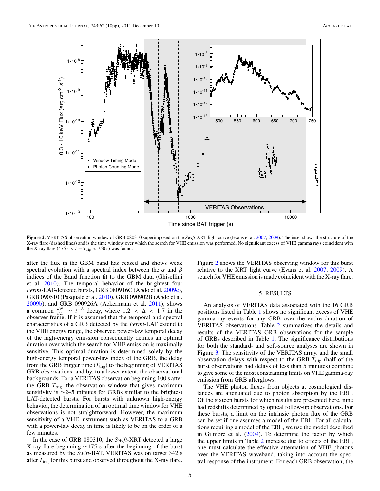<span id="page-5-0"></span>

**Figure 2.** VERITAS observation window of GRB 080310 superimposed on the *Swift*-XRT light curve (Evans et al. [2007,](#page-10-0) [2009\)](#page-10-0). The inset shows the structure of the X-ray flare (dashed lines) and is the time window over which the search for VHE emission was performed. No significant excess of VHE gamma rays coincident with the X-ray flare (475 s  $< t - T_{\text{trig}} < 750$  s) was found.

after the flux in the GBM band has ceased and shows weak spectral evolution with a spectral index between the *α* and *β* indices of the Band function fit to the GBM data (Ghisellini et al. [2010\)](#page-10-0). The temporal behavior of the brightest four *Fermi*-LAT-detected bursts, GRB 080916C (Abdo et al. [2009c\)](#page-10-0), GRB 090510 (Pasquale et al. [2010\)](#page-10-0), GRB 090902B (Abdo et al. [2009b\)](#page-10-0), and GRB 090926A (Ackermann et al. [2011\)](#page-10-0), shows a common  $\frac{dN}{dE} \sim t^{-\Delta}$  decay, where  $1.2 < \Delta < 1.7$  in the observer frame. If it is assumed that the temporal and spectral characteristics of a GRB detected by the *Fermi*-LAT extend to the VHE energy range, the observed power-law temporal decay of the high-energy emission consequently defines an optimal duration over which the search for VHE emission is maximally sensitive. This optimal duration is determined solely by the high-energy temporal power-law index of the GRB, the delay from the GRB trigger time  $(T_{\text{trig}})$  to the beginning of VERITAS GRB observations, and by, to a lesser extent, the observational backgrounds. For a VERITAS observation beginning 100 s after the GRB  $T_{\text{trig}}$ , the observation window that gives maximum sensitivity is ~2–5 minutes for GRBs similar to the brightest LAT-detected bursts. For bursts with unknown high-energy behavior, the determination of an optimal time window for VHE observations is not straightforward. However, the maximum sensitivity of a VHE instrument such as VERITAS to a GRB with a power-law decay in time is likely to be on the order of a few minutes.

In the case of GRB 080310, the *Swift*-XRT detected a large X-ray flare beginning ∼475 s after the beginning of the burst as measured by the *Swift*-BAT. VERITAS was on target 342 s after  $T_{\text{trig}}$  for this burst and observed throughout the X-ray flare.

Figure 2 shows the VERITAS observing window for this burst relative to the XRT light curve (Evans et al. [2007,](#page-10-0) [2009\)](#page-10-0). A search for VHE emission is made coincident with the X-ray flare.

#### 5. RESULTS

An analysis of VERITAS data associated with the 16 GRB positions listed in Table [1](#page-4-0) shows no significant excess of VHE gamma-ray events for any GRB over the entire duration of VERITAS observations. Table [2](#page-6-0) summarizes the details and results of the VERITAS GRB observations for the sample of GRBs described in Table [1.](#page-4-0) The significance distributions for both the standard- and soft-source analyses are shown in Figure [3.](#page-6-0) The sensitivity of the VERITAS array, and the small observation delays with respect to the GRB  $T_{\text{trig}}$  (half of the burst observations had delays of less than 5 minutes) combine to give some of the most constraining limits on VHE gamma-ray emission from GRB afterglows.

The VHE photon fluxes from objects at cosmological distances are attenuated due to photon absorption by the EBL. Of the sixteen bursts for which results are presented here, nine had redshifts determined by optical follow-up observations. For these bursts, a limit on the intrinsic photon flux of the GRB can be set if one assumes a model of the EBL. For all calculations requiring a model of the EBL, we use the model described in Gilmore et al. [\(2009\)](#page-10-0). To determine the factor by which the upper limits in Table [2](#page-6-0) increase due to effects of the EBL, one must calculate the effective attenuation of VHE photons over the VERITAS waveband, taking into account the spectral response of the instrument. For each GRB observation, the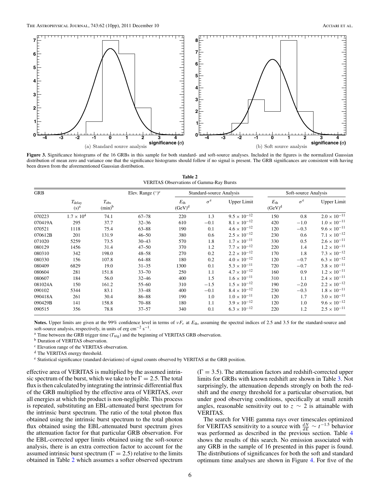<span id="page-6-0"></span>

**Figure 3.** Significance histograms of the 16 GRBs in this sample for both standard- and soft-source analyses. Included in the figures is the normalized Gaussian distribution of mean zero and variance one that the significance histograms should follow if no signal is present. The GRB significances are consistent with having been drawn from the aforementioned Gaussian distribution.

**Table 2** VERITAS Observations of Gamma-Ray Bursts

| <b>GRB</b> |                                     |                            | Elev. Range $({}^{\circ})^c$ |                           | Standard-source Analysis |                       | Soft-source Analysis      |            |                       |
|------------|-------------------------------------|----------------------------|------------------------------|---------------------------|--------------------------|-----------------------|---------------------------|------------|-----------------------|
|            | $T_{\rm delay}$<br>(s) <sup>a</sup> | $T_{\rm obs}$<br>$(min)^b$ |                              | $E_{\rm th}$<br>$(GeV)^d$ | $\sigma^e$               | <b>Upper Limit</b>    | $E_{\rm th}$<br>$(GeV)^d$ | $\sigma^e$ | <b>Upper Limit</b>    |
| 070223     | $1.7 \times 10^{4}$                 | 74.1                       | $67 - 78$                    | 220                       | 1.3                      | $9.5 \times 10^{-12}$ | 150                       | 0.8        | $2.0 \times 10^{-11}$ |
| 070419A    | 295                                 | 37.7                       | $32 - 36$                    | 610                       | $-0.1$                   | $8.1 \times 10^{-12}$ | 420                       | $-1.0$     | $1.0 \times 10^{-11}$ |
| 070521     | 1118                                | 75.4                       | $63 - 88$                    | 190                       | 0.1                      | $4.6 \times 10^{-12}$ | 120                       | $-0.3$     | $9.6 \times 10^{-11}$ |
| 070612B    | 201                                 | 131.9                      | $46 - 50$                    | 380                       | 0.6                      | $2.5 \times 10^{-12}$ | 230                       | 0.6        | $7.1 \times 10^{-12}$ |
| 071020     | 5259                                | 73.5                       | $30 - 43$                    | 570                       | 1.8                      | $1.7 \times 10^{-11}$ | 330                       | 0.5        | $2.6 \times 10^{-11}$ |
| 080129     | 1456                                | 31.4                       | $47 - 50$                    | 370                       | 1.2                      | $7.7 \times 10^{-12}$ | 220                       | 1.4        | $1.2 \times 10^{-11}$ |
| 080310     | 342                                 | 198.0                      | $48 - 58$                    | 270                       | 0.2                      | $2.2 \times 10^{-12}$ | 170                       | 1.8        | $7.3 \times 10^{-12}$ |
| 080330     | 156                                 | 107.8                      | $64 - 88$                    | 180                       | 0.2                      | $4.0 \times 10^{-12}$ | 120                       | $-0.7$     | $6.3 \times 10^{-12}$ |
| 080409     | 6829                                | 19.0                       | $31 - 35$                    | 1300                      | 0.1                      | $5.3 \times 10^{-11}$ | 720                       | $-0.7$     | $3.8 \times 10^{-11}$ |
| 080604     | 281                                 | 151.8                      | $33 - 70$                    | 250                       | 1.1                      | $4.7 \times 10^{-12}$ | 160                       | 0.9        | $1.2 \times 10^{-11}$ |
| 080607     | 184                                 | 56.0                       | $32 - 46$                    | 400                       | 1.5                      | $1.6 \times 10^{-11}$ | 310                       | 1.1        | $2.4 \times 10^{-11}$ |
| 081024A    | 150                                 | 161.2                      | $55 - 60$                    | 310                       | $-1.5$                   | $1.5 \times 10^{-12}$ | 190                       | $-2.0$     | $2.2 \times 10^{-12}$ |
| 090102     | 5344                                | 83.1                       | $33 - 48$                    | 400                       | $-0.1$                   | $8.4 \times 10^{-12}$ | 230                       | $-0.3$     | $1.8 \times 10^{-11}$ |
| 090418A    | 261                                 | 30.4                       | 86-88                        | 190                       | 1.0                      | $1.0 \times 10^{-11}$ | 120                       | 1.7        | $3.0 \times 10^{-11}$ |
| 090429B    | 141                                 | 158.8                      | $70 - 88$                    | 180                       | 1.1                      | $3.9 \times 10^{-12}$ | 120                       | 1.0        | $9.6 \times 10^{-12}$ |
| 090515     | 356                                 | 78.8                       | $37 - 57$                    | 340                       | 0.1                      | $6.3 \times 10^{-12}$ | 220                       | 1.2        | $2.5 \times 10^{-11}$ |

Notes. Upper limits are given at the 99% confidence level in terms of *νF<sub>ν</sub>* at *E*<sub>th</sub>, assuming the spectral indices of 2.5 and 3.5 for the standard-source and soft-source analysis, respectively, in units of erg cm<sup>-2</sup> s<sup>-1</sup>.

<sup>a</sup> Time between the GRB trigger time ( $T_{\text{trig}}$ ) and the beginning of VERITAS GRB observation. b Duration of VERITAS observation.

<sup>c</sup> Elevation range of the VERITAS observation.

<sup>d</sup> The VERITAS energy threshold.

<sup>e</sup> Statistical significance (standard deviations) of signal counts observed by VERITAS at the GRB position.

effective area of VERITAS is multiplied by the assumed intrinsic spectrum of the burst, which we take to be  $\Gamma = 2.5$ . The total flux is then calculated by integrating the intrinsic differential flux of the GRB multiplied by the effective area of VERITAS, over all energies at which the product is non-negligible. This process is repeated, substituting an EBL-attenuated burst spectrum for the intrinsic burst spectrum. The ratio of the total photon flux obtained using the intrinsic burst spectrum to the total photon flux obtained using the EBL-attenuated burst spectrum gives the attenuation factor for that particular GRB observation. For the EBL-corrected upper limits obtained using the soft-source analysis, there is an extra correction factor to account for the assumed intrinsic burst spectrum ( $\Gamma = 2.5$ ) relative to the limits obtained in Table 2 which assumes a softer observed spectrum  $(\Gamma = 3.5)$ . The attenuation factors and redshift-corrected upper limits for GRBs with known redshift are shown in Table [3.](#page-7-0) Not surprisingly, the attenuation depends strongly on both the redshift and the energy threshold for a particular observation, but under good observing conditions, specifically at small zenith angles, reasonable sensitivity out to  $z \sim 2$  is attainable with VERITAS.

The search for VHE gamma rays over timescales optimized for VERITAS sensitivity to a source with  $\frac{dN}{dE} \sim t^{-1.5}$  behavior was performed as described in the previous section. Table [4](#page-7-0) shows the results of this search. No emission associated with any GRB in the sample of 16 presented in this paper is found. The distributions of significances for both the soft and standard optimum time analyses are shown in Figure [4.](#page-8-0) For five of the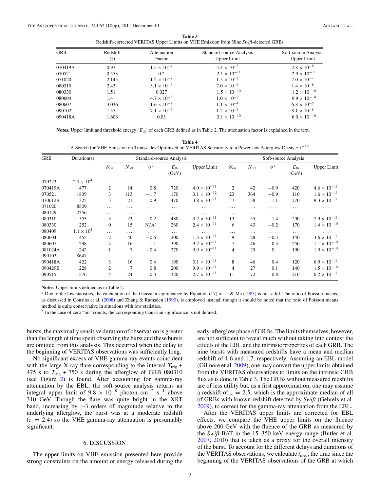| Table 3                                                                               |
|---------------------------------------------------------------------------------------|
| Redshift-corrected VERITAS Upper Limits on VHE Emission from Nine Swift-detected GRBs |

<span id="page-7-0"></span>

| GRB     | Redshift<br>(z) | Attenuation<br>Factor | Standard-source Analysis<br>Upper Limit | Soft-source Analysis<br>Upper Limit |
|---------|-----------------|-----------------------|-----------------------------------------|-------------------------------------|
| 070419A | 0.97            | $1.5 \times 10^{-4}$  | $5.4 \times 10^{-8}$                    | $2.8 \times 10^{-8}$                |
| 070521  | 0.553           | $0.2^{\circ}$         | $2.1 \times 10^{-11}$                   | $2.9 \times 10^{-11}$               |
| 071020  | 2.145           | $1.2 \times 10^{-8}$  | $1.5 \times 10^{-3}$                    | $7.0 \times 10^{-4}$                |
| 080310  | 2.43            | $3.1 \times 10^{-4}$  | $7.0 \times 10^{-9}$                    | $1.4 \times 10^{-8}$                |
| 080330  | 1.51            | 0.027                 | $1.5 \times 10^{-10}$                   | $1.2 \times 10^{-10}$               |
| 080604  | 1.4             | $4.7 \times 10^{-3}$  | $1.0 \times 10^{-9}$                    | $9.9 \times 10^{-10}$               |
| 080607  | 3.036           | $1.6 \times 10^{-7}$  | $1.1 \times 10^{-4}$                    | $6.8 \times 10^{-5}$                |
| 090102  | 1.55            | $7.1 \times 10^{-5}$  | $1.2 \times 10^{-7}$                    | $8.1 \times 10^{-8}$                |
| 090418A | 1.608           | 0.03                  | $3.1 \times 10^{-10}$                   | $6.0 \times 10^{-10}$               |

**Notes.** Upper limit and threshold energy  $(E_{th})$  of each GRB defined as in Table [2.](#page-6-0) The attenuation factor is explained in the text.

| Table 4                                                                                                                 |
|-------------------------------------------------------------------------------------------------------------------------|
| A Search for VHE Emission on Timescales Optimized on VERITAS Sensitivity to a Power-law Afterglow Decay $\sim t^{-1.5}$ |

| <b>GRB</b> | Duration(s)         | Standard-source Analysis |               |                  |                          |                       | Soft-source Analysis |                  |                  |                          |                       |
|------------|---------------------|--------------------------|---------------|------------------|--------------------------|-----------------------|----------------------|------------------|------------------|--------------------------|-----------------------|
|            |                     | $N_{\rm on}$             | $N_{\rm off}$ | $\sigma^{\rm a}$ | $E_{\text{th}}$<br>(GeV) | <b>Upper Limit</b>    | $N_{on}$             | $N_{\text{off}}$ | $\sigma^{\rm a}$ | $E_{\text{th}}$<br>(GeV) | <b>Upper Limit</b>    |
| 070223     | $2.7 \times 10^{4}$ | $\cdots$                 | .             | $\cdots$         | $\cdots$                 | $\cdots$              | $\cdots$             | .                | $\cdots$         | $\cdots$                 | $\cdots$              |
| 070419A    | 477                 | $\overline{2}$           | 14            | 0.8              | 720                      | $4.0\times10^{-11}$   | 2                    | 42               | $-0.9$           | 420                      | $4.6 \times 10^{-11}$ |
| 070521     | 1809                | 3                        | 113           | $-1.7$           | 170                      | $3.1 \times 10^{-12}$ | 23                   | 364              | $-0.9$           | 110                      | $1.6 \times 10^{-11}$ |
| 070612B    | 325                 | 3                        | 21            | 0.9              | 470                      | $3.8 \times 10^{-11}$ | $\overline{7}$       | 58               | 1.1              | 270                      | $9.3 \times 10^{-11}$ |
| 071020     | 8509                | $\cdots$                 | $\cdots$      | $\cdots$         | $\cdots$                 | $\cdots$              | $\cdots$             | $\cdots$         | $\cdots$         | $\cdots$                 | $\cdots$              |
| 080129     | 2356                | $\cdots$                 | .             | $\cdots$         | $\cdots$                 | $\ldots$              | $\cdots$             | .                | $\cdots$         | $\cdots$                 | $\cdots$              |
| 080310     | 553                 | 3                        | 23            | $-0.2$           | 480                      | $3.2 \times 10^{-11}$ | 13                   | 55               | 1.4              | 290                      | $7.9 \times 10^{-11}$ |
| 080330     | 252                 | $\overline{0}$           | 15            | $N/A^b$          | 260                      | $2.4 \times 10^{-11}$ | 6                    | 43               | $-0.2$           | 170                      | $1.4 \times 10^{-10}$ |
| 080409     | $1.1 \times 10^{4}$ | $\cdots$                 | .             | $\cdots$         | $\cdots$                 | $\ldots$              | $\cdots$             | .                | $\cdots$         | $\cdots$                 | $\cdots$              |
| 080604     | 455                 | 2                        | 40            | $-0.6$           | 200                      | $1.5\times10^{-11}$   | 9                    | 128              | $-0.3$           | 140                      | $3.6 \times 10^{-11}$ |
| 080607     | 298                 | 4                        | 16            | 1.1              | 390                      | $9.2 \times 10^{-11}$ | 7                    | 46               | 0.3              | 250                      | $1.1 \times 10^{-10}$ |
| 081024A    | 242                 |                          | 7             | $-0.4$           | 270                      | $9.9 \times 10^{-11}$ | 4                    | 29               | $\mathbf{0}$     | 190                      | $1.9 \times 10^{-10}$ |
| 090102     | 8647                | $\cdots$                 | .             | $\cdots$         | $\cdots$                 | $\cdots$              | .                    | .                | .                | $\cdots$                 | $\cdots$              |
| 090418A    | 422                 | 3                        | 16            | 0.4              | 190                      | $3.1\times10^{-11}$   | 8                    | 46               | 0.4              | 120                      | $6.9 \times 10^{-11}$ |
| 090429B    | 228                 | $\overline{2}$           | 7             | 0.8              | 200                      | $9.9 \times 10^{-11}$ | 4                    | 27               | 0.1              | 140                      | $1.5 \times 10^{-10}$ |
| 090515     | 576                 | 4                        | 24            | 0.3              | 320                      | $2.7 \times 10^{-11}$ | 11                   | 72               | 0.8              | 210                      | $6.2 \times 10^{-11}$ |

**Notes.** Upper limits defined as in Table [2.](#page-6-0)

<sup>a</sup> Due to the low statistics, the calculation of the Gaussian significance by Equation (17) of Li & Ma [\(1983\)](#page-10-0) is not valid. The ratio of Poisson means, as discussed in Cousins et al. [\(2008\)](#page-10-0) and Zhang & Ramsden [\(1990\)](#page-10-0), is employed instead, though it should be noted that the ratio of Poisson means method is quite conservative in situations with low statistics.

<sup>b</sup> In the case of zero "on" counts, the corresponding Gaussian significance is not defined.

bursts, the maximally sensitive duration of observation is greater than the length of time spent observing the burst and these bursts are omitted from this analysis. This occurred when the delay to the beginning of VERITAS observations was sufficiently long.

No significant excess of VHE gamma-ray events coincident with the large X-ray flare corresponding to the interval  $T_{\text{trig}}$  + 475 s to  $T_{\text{trig}}$  + 750 s during the afterglow of GRB 080310 (see Figure [2\)](#page-5-0) is found. After accounting for gamma-ray attenuation by the EBL, the soft-source analysis returns an integral upper limit of  $9.8 \times 10^{-8}$  photon cm<sup>-2</sup> s<sup>-1</sup> above 310 GeV. Though the flare was quite bright in the XRT band, increasing by ∼3 orders of magnitude relative to the underlying afterglow, the burst was at a moderate redshift  $(z = 2.4)$  so the VHE gamma-ray attenuation is presumably significant.

#### 6. DISCUSSION

The upper limits on VHE emission presented here provide strong constraints on the amount of energy released during the early-afterglow phase of GRBs. The limits themselves, however, are not sufficient to reveal much without taking into context the effects of the EBL and the intrinsic properties of each GRB. The nine bursts with measured redshifts have a mean and median redshift of 1.6 and 1.7, respectively. Assuming an EBL model (Gilmore et al. [2009\)](#page-10-0), one may convert the upper limits obtained from the VERITAS observations to limits on the intrinsic GRB flux as is done in Table 3. The GRBs without measured redshifts are of less utility but, as a first approximation, one may assume a redshift of  $z = 2.5$ , which is the approximate median of all of GRBs with known redshift detected by *Swift* (Gehrels et al. [2009\)](#page-10-0), to correct for the gamma-ray attenuation from the EBL.

After the VERITAS upper limits are corrected for EBL effects, we compare the VHE upper limits on the fluence above 200 GeV with the fluence of the GRB as measured by the *Swift*-BAT in the 15–350 keV energy range (Butler et al. [2007,](#page-10-0) [2010\)](#page-10-0) that is taken as a proxy for the overall intensity of the burst. To account for the different delays and durations of the VERITAS observations, we calculate  $t_{\text{med}}$ , the time since the beginning of the VERITAS observations of the GRB at which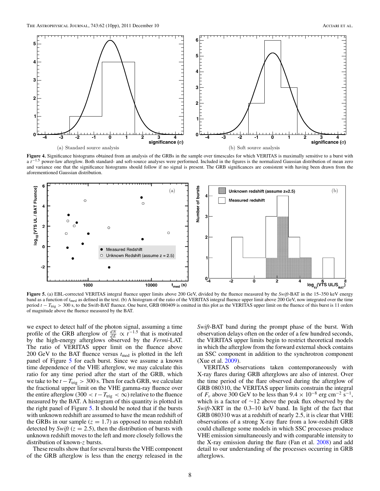<span id="page-8-0"></span>

Figure 4. Significance histograms obtained from an analysis of the GRBs in the sample over timescales for which VERITAS is maximally sensitive to a burst with a *t*<sup>−1.5</sup> power-law afterglow. Both standard- and soft-source analyses were performed. Included in the figures is the normalized Gaussian distribution of mean zero and variance one that the significance histograms should follow if no signal is present. The GRB significances are consistent with having been drawn from the aforementioned Gaussian distribution.



**Figure 5.** (a) EBL-corrected VERITAS integral fluence upper limits above 200 GeV, divided by the fluence measured by the *Swift*-BAT in the 15–350 keV energy band as a function of  $t_{\text{med}}$  as defined in the text. (b) A histogram of the ratio of the VERITAS integral fluence upper limit above 200 GeV, now integrated over the time period *t* − *T*<sub>trig</sub> > 300 s, to the Swift-BAT fluence. One burst, GRB 080409 is omitted in this plot as the VERITAS upper limit on the fluence of this burst is 11 orders of magnitude above the fluence measured by the BAT.

we expect to detect half of the photon signal, assuming a time profile of the GRB afterglow of  $\frac{dN}{dE} \propto t^{-1.5}$  that is motivated by the high-energy afterglows observed by the *Fermi*-LAT. The ratio of VERITAS upper limit on the fluence above 200 GeV to the BAT fluence versus *t*med is plotted in the left panel of Figure 5 for each burst. Since we assume a known time dependence of the VHE afterglow, we may calculate this ratio for any time period after the start of the GRB, which we take to be  $t - T_{\text{trig}} > 300$  s. Then for each GRB, we calculate the fractional upper limit on the VHE gamma-ray fluence over the entire afterglow (300  $< t - T_{\text{trig}} < \infty$ ) relative to the fluence measured by the BAT. A histogram of this quantity is plotted in the right panel of Figure 5. It should be noted that if the bursts with unknown redshift are assumed to have the mean redshift of the GRBs in our sample  $(z = 1.7)$  as opposed to mean redshift detected by *Swift* ( $z = 2.5$ ), then the distribution of bursts with unknown redshift moves to the left and more closely follows the distribution of known-*z* bursts.

These results show that for several bursts the VHE component of the GRB afterglow is less than the energy released in the

*Swift*-BAT band during the prompt phase of the burst. With observation delays often on the order of a few hundred seconds, the VERITAS upper limits begin to restrict theoretical models in which the afterglow from the forward external shock contains an SSC component in addition to the synchrotron component (Xue et al. [2009\)](#page-10-0).

VERITAS observations taken contemporaneously with X-ray flares during GRB afterglows are also of interest. Over the time period of the flare observed during the afterglow of GRB 080310, the VERITAS upper limits constrain the integral of  $F_v$  above 300 GeV to be less than  $9.4 \times 10^{-8}$  erg cm<sup>-2</sup> s<sup>-1</sup>, which is a factor of ∼12 above the peak flux observed by the *Swift*-XRT in the 0.3–10 keV band. In light of the fact that GRB 080310 was at a redshift of nearly 2*.*5, it is clear that VHE observations of a strong X-ray flare from a low-redshift GRB could challenge some models in which SSC processes produce VHE emission simultaneously and with comparable intensity to the X-ray emission during the flare (Fan et al. [2008\)](#page-10-0) and add detail to our understanding of the processes occurring in GRB afterglows.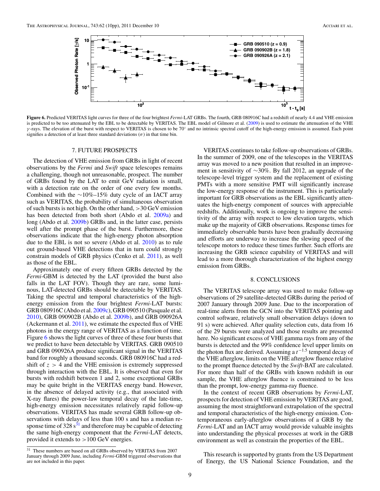

**Figure 6.** Predicted VERITAS light curves for three of the four brightest *Fermi*-LAT GRBs. The fourth, GRB 080916C had a redshift of nearly 4.4 and VHE emission is predicted to be too attenuated by the EBL to be detectable by VERITAS. The EBL model of Gilmore et al. [\(2009\)](#page-10-0) is used to estimate the attenuation of the VHE *γ* -rays. The elevation of the burst with respect to VERITAS is chosen to be 70◦ and no intrinsic spectral cutoff of the high-energy emission is assumed. Each point signifies a detection of at least three standard deviations  $(\sigma)$  in that time bin.

#### 7. FUTURE PROSPECTS

The detection of VHE emission from GRBs in light of recent observations by the *Fermi* and *Swift* space telescopes remains a challenging, though not unreasonable, prospect. The number of GRBs found by the LAT to emit GeV radiation is small, with a detection rate on the order of one every few months. Combined with the ∼10%–15% duty cycle of an IACT array such as VERITAS, the probability of simultaneous observation of such bursts is not high. On the other hand, *>*30 GeV emission has been detected from both short (Abdo et al. [2009a\)](#page-10-0) and long (Abdo et al. [2009b\)](#page-10-0) GRBs and, in the latter case, persists well after the prompt phase of the burst. Furthermore, these observations indicate that the high-energy photon absorption due to the EBL is not so severe (Abdo et al. [2010\)](#page-10-0) as to rule out ground-based VHE detections that in turn could strongly constrain models of GRB physics (Cenko et al. [2011\)](#page-10-0), as well as those of the EBL.

Approximately one of every fifteen GRBs detected by the *Fermi*-GBM is detected by the LAT (provided the burst also falls in the LAT FOV). Though they are rare, some luminous, LAT-detected GRBs should be detectable by VERITAS. Taking the spectral and temporal characteristics of the highenergy emission from the four brightest *Fermi*-LAT bursts: GRB 080916C (Abdo et al. [2009c\)](#page-10-0), GRB 090510 (Pasquale et al. [2010\)](#page-10-0), GRB 090902B (Abdo et al. [2009b\)](#page-10-0), and GRB 090926A (Ackermann et al. [2011\)](#page-10-0), we estimate the expected flux of VHE photons in the energy range of VERITAS as a function of time. Figure 6 shows the light curves of three of these four bursts that we predict to have been detectable by VERITAS. GRB 090510 and GRB 090926A produce significant signal in the VERITAS band for roughly a thousand seconds. GRB 080916C had a redshift of  $z > 4$  and the VHE emission is extremely suppressed through interaction with the EBL. It is observed that even for bursts with redshift between 1 and 2, some exceptional GRBs may be quite bright in the VERITAS energy band. However, in the absence of delayed activity (e.g., that associated with X-ray flares) the power-law temporal decay of the late-time, high-energy emission necessitates relatively rapid follow-up observations. VERITAS has made several GRB follow-up observations with delays of less than 100 s and has a median response time of  $328 s<sup>31</sup>$  and therefore may be capable of detecting the same high-energy component that the *Fermi*-LAT detects, provided it extends to *>*100 GeV energies.

VERITAS continues to take follow-up observations of GRBs. In the summer of 2009, one of the telescopes in the VERITAS array was moved to a new position that resulted in an improvement in sensitivity of ∼30%. By fall 2012, an upgrade of the telescope-level trigger system and the replacement of existing PMTs with a more sensitive PMT will significantly increase the low-energy response of the instrument. This is particularly important for GRB observations as the EBL significantly attenuates the high-energy component of sources with appreciable redshifts. Additionally, work is ongoing to improve the sensitivity of the array with respect to low elevation targets, which make up the majority of GRB observations. Response times for immediately observable bursts have been gradually decreasing and efforts are underway to increase the slewing speed of the telescope motors to reduce these times further. Such efforts are increasing the GRB science capability of VERITAS and will lead to a more thorough characterization of the highest energy emission from GRBs.

#### 8. CONCLUSIONS

The VERITAS telescope array was used to make follow-up observations of 29 satellite-detected GRBs during the period of 2007 January through 2009 June. Due to the incorporation of real-time alerts from the GCN into the VERITAS pointing and control software, relatively small observation delays (down to 91 s) were achieved. After quality selection cuts, data from 16 of the 29 bursts were analyzed and those results are presented here. No significant excess of VHE gamma rays from any of the bursts is detected and the 99% confidence level upper limits on the photon flux are derived. Assuming a *t*−1*.*<sup>5</sup> temporal decay of the VHE afterglow, limits on the VHE afterglow fluence relative to the prompt fluence detected by the *Swift*-BAT are calculated. For more than half of the GRBs with known redshift in our sample, the VHE afterglow fluence is constrained to be less than the prompt, low-energy gamma-ray fluence.

In the context of recent GRB observations by *Fermi*-LAT, prospects for detection of VHE emission by VERITAS are good, assuming the most straightforward extrapolation of the spectral and temporal characteristics of the high-energy emission. Contemporaneous early-afterglow observations of a GRB by the *Fermi*-LAT and an IACT array would provide valuable insights into understanding the physical processes at work in the GRB environment as well as constrain the properties of the EBL.

This research is supported by grants from the US Department of Energy, the US National Science Foundation, and the

<sup>&</sup>lt;sup>31</sup> These numbers are based on all GRBs observed by VERITAS from 2007 January through 2009 June, including *Fermi*-GBM triggered observations that are not included in this paper.